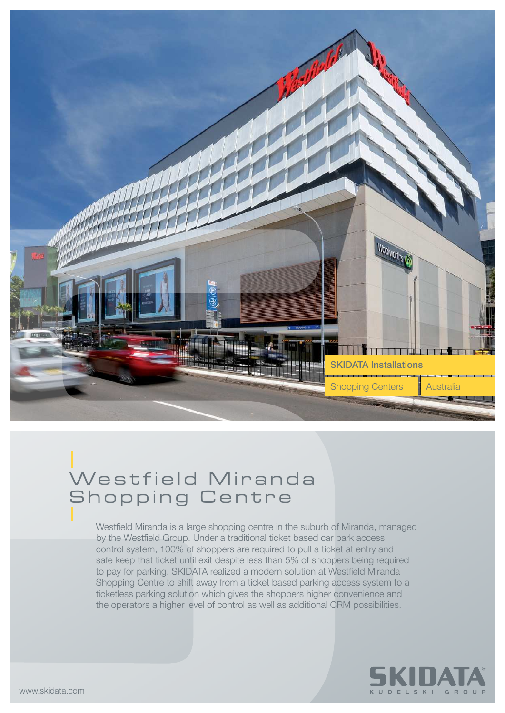

## Westfield Miranda Shopping Centre

Westfield Miranda is a large shopping centre in the suburb of Miranda, managed by the Westfield Group. Under a traditional ticket based car park access control system, 100% of shoppers are required to pull a ticket at entry and safe keep that ticket until exit despite less than 5% of shoppers being required to pay for parking. SKIDATA realized a modern solution at Westfield Miranda Shopping Centre to shift away from a ticket based parking access system to a ticketless parking solution which gives the shoppers higher convenience and the operators a higher level of control as well as additional CRM possibilities.